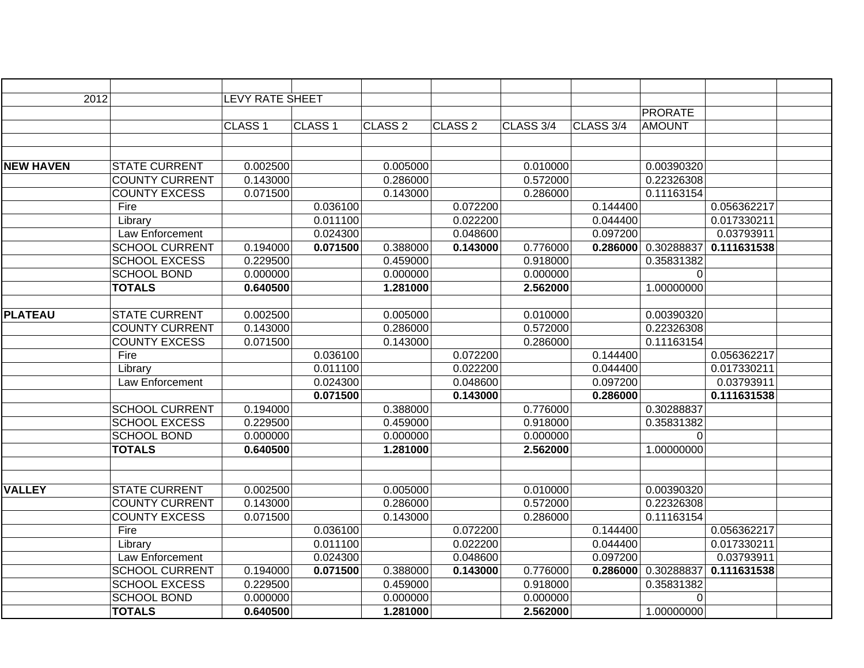| 2012             |                       | <b>LEVY RATE SHEET</b> |                    |                    |                    |           |           |                |             |  |
|------------------|-----------------------|------------------------|--------------------|--------------------|--------------------|-----------|-----------|----------------|-------------|--|
|                  |                       |                        |                    |                    |                    |           |           | <b>PRORATE</b> |             |  |
|                  |                       | CLASS <sub>1</sub>     | CLASS <sub>1</sub> | CLASS <sub>2</sub> | CLASS <sub>2</sub> | CLASS 3/4 | CLASS 3/4 | <b>AMOUNT</b>  |             |  |
|                  |                       |                        |                    |                    |                    |           |           |                |             |  |
|                  |                       |                        |                    |                    |                    |           |           |                |             |  |
| <b>NEW HAVEN</b> | <b>STATE CURRENT</b>  | 0.002500               |                    | 0.005000           |                    | 0.010000  |           | 0.00390320     |             |  |
|                  | <b>COUNTY CURRENT</b> | 0.143000               |                    | 0.286000           |                    | 0.572000  |           | 0.22326308     |             |  |
|                  | <b>COUNTY EXCESS</b>  | 0.071500               |                    | 0.143000           |                    | 0.286000  |           | 0.11163154     |             |  |
|                  | Fire                  |                        | 0.036100           |                    | 0.072200           |           | 0.144400  |                | 0.056362217 |  |
|                  | Library               |                        | 0.011100           |                    | 0.022200           |           | 0.044400  |                | 0.017330211 |  |
|                  | Law Enforcement       |                        | 0.024300           |                    | 0.048600           |           | 0.097200  |                | 0.03793911  |  |
|                  | <b>SCHOOL CURRENT</b> | 0.194000               | 0.071500           | 0.388000           | 0.143000           | 0.776000  | 0.286000  | 0.30288837     | 0.111631538 |  |
|                  | <b>SCHOOL EXCESS</b>  | 0.229500               |                    | 0.459000           |                    | 0.918000  |           | 0.35831382     |             |  |
|                  | <b>SCHOOL BOND</b>    | 0.000000               |                    | 0.000000           |                    | 0.000000  |           | $\mathbf 0$    |             |  |
|                  | <b>TOTALS</b>         | 0.640500               |                    | 1.281000           |                    | 2.562000  |           | 1.00000000     |             |  |
|                  |                       |                        |                    |                    |                    |           |           |                |             |  |
| <b>PLATEAU</b>   | <b>STATE CURRENT</b>  | 0.002500               |                    | 0.005000           |                    | 0.010000  |           | 0.00390320     |             |  |
|                  | <b>COUNTY CURRENT</b> | 0.143000               |                    | 0.286000           |                    | 0.572000  |           | 0.22326308     |             |  |
|                  | <b>COUNTY EXCESS</b>  | 0.071500               |                    | 0.143000           |                    | 0.286000  |           | 0.11163154     |             |  |
|                  | Fire                  |                        | 0.036100           |                    | 0.072200           |           | 0.144400  |                | 0.056362217 |  |
|                  | Library               |                        | 0.011100           |                    | 0.022200           |           | 0.044400  |                | 0.017330211 |  |
|                  | Law Enforcement       |                        | 0.024300           |                    | 0.048600           |           | 0.097200  |                | 0.03793911  |  |
|                  |                       |                        | 0.071500           |                    | 0.143000           |           | 0.286000  |                | 0.111631538 |  |
|                  | <b>SCHOOL CURRENT</b> | 0.194000               |                    | 0.388000           |                    | 0.776000  |           | 0.30288837     |             |  |
|                  | <b>SCHOOL EXCESS</b>  | 0.229500               |                    | 0.459000           |                    | 0.918000  |           | 0.35831382     |             |  |
|                  | <b>SCHOOL BOND</b>    | 0.000000               |                    | 0.000000           |                    | 0.000000  |           | 0              |             |  |
|                  | <b>TOTALS</b>         | 0.640500               |                    | 1.281000           |                    | 2.562000  |           | 1.00000000     |             |  |
|                  |                       |                        |                    |                    |                    |           |           |                |             |  |
|                  |                       |                        |                    |                    |                    |           |           |                |             |  |
| <b>VALLEY</b>    | <b>STATE CURRENT</b>  | 0.002500               |                    | 0.005000           |                    | 0.010000  |           | 0.00390320     |             |  |
|                  | <b>COUNTY CURRENT</b> | 0.143000               |                    | 0.286000           |                    | 0.572000  |           | 0.22326308     |             |  |
|                  | <b>COUNTY EXCESS</b>  | 0.071500               |                    | 0.143000           |                    | 0.286000  |           | 0.11163154     |             |  |
|                  | Fire                  |                        | 0.036100           |                    | 0.072200           |           | 0.144400  |                | 0.056362217 |  |
|                  | Library               |                        | 0.011100           |                    | 0.022200           |           | 0.044400  |                | 0.017330211 |  |
|                  | Law Enforcement       |                        | 0.024300           |                    | 0.048600           |           | 0.097200  |                | 0.03793911  |  |
|                  | <b>SCHOOL CURRENT</b> | 0.194000               | 0.071500           | 0.388000           | 0.143000           | 0.776000  | 0.286000  | 0.30288837     | 0.111631538 |  |
|                  | <b>SCHOOL EXCESS</b>  | 0.229500               |                    | 0.459000           |                    | 0.918000  |           | 0.35831382     |             |  |
|                  | <b>SCHOOL BOND</b>    | 0.000000               |                    | 0.000000           |                    | 0.000000  |           | $\overline{0}$ |             |  |
|                  | <b>TOTALS</b>         | 0.640500               |                    | 1.281000           |                    | 2.562000  |           | 1.00000000     |             |  |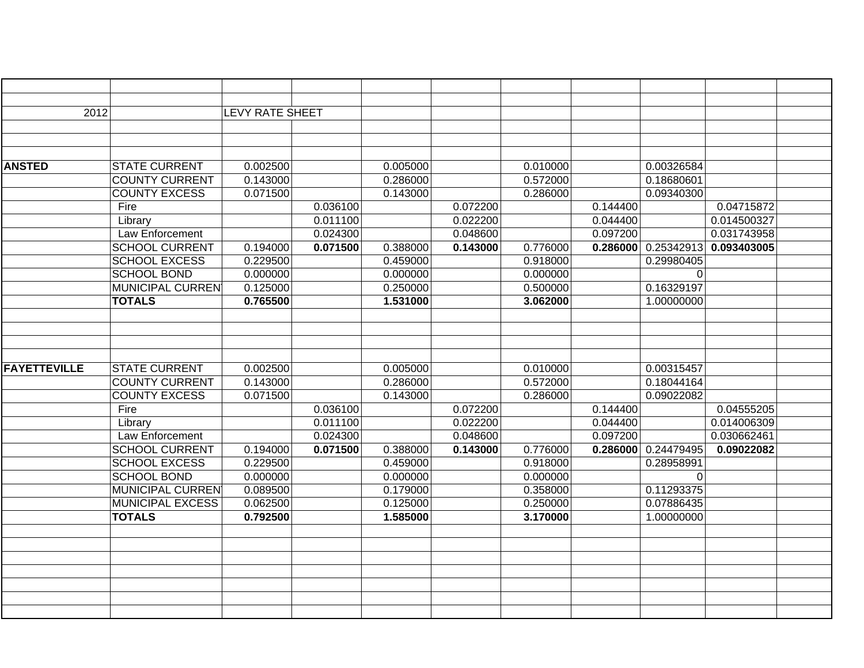| 2012                |                         | <b>LEVY RATE SHEET</b> |          |          |          |          |          |            |             |  |
|---------------------|-------------------------|------------------------|----------|----------|----------|----------|----------|------------|-------------|--|
|                     |                         |                        |          |          |          |          |          |            |             |  |
|                     |                         |                        |          |          |          |          |          |            |             |  |
|                     |                         |                        |          |          |          |          |          |            |             |  |
| <b>ANSTED</b>       | <b>STATE CURRENT</b>    | 0.002500               |          | 0.005000 |          | 0.010000 |          | 0.00326584 |             |  |
|                     | <b>COUNTY CURRENT</b>   | 0.143000               |          | 0.286000 |          | 0.572000 |          | 0.18680601 |             |  |
|                     | <b>COUNTY EXCESS</b>    | 0.071500               |          | 0.143000 |          | 0.286000 |          | 0.09340300 |             |  |
|                     | Fire                    |                        | 0.036100 |          | 0.072200 |          | 0.144400 |            | 0.04715872  |  |
|                     | Library                 |                        | 0.011100 |          | 0.022200 |          | 0.044400 |            | 0.014500327 |  |
|                     | Law Enforcement         |                        | 0.024300 |          | 0.048600 |          | 0.097200 |            | 0.031743958 |  |
|                     | <b>SCHOOL CURRENT</b>   | 0.194000               | 0.071500 | 0.388000 | 0.143000 | 0.776000 | 0.286000 | 0.25342913 | 0.093403005 |  |
|                     | <b>SCHOOL EXCESS</b>    | 0.229500               |          | 0.459000 |          | 0.918000 |          | 0.29980405 |             |  |
|                     | <b>SCHOOL BOND</b>      | 0.000000               |          | 0.000000 |          | 0.000000 |          | 0          |             |  |
|                     | <b>MUNICIPAL CURREN</b> | 0.125000               |          | 0.250000 |          | 0.500000 |          | 0.16329197 |             |  |
|                     | <b>TOTALS</b>           | 0.765500               |          | 1.531000 |          | 3.062000 |          | 1.00000000 |             |  |
|                     |                         |                        |          |          |          |          |          |            |             |  |
|                     |                         |                        |          |          |          |          |          |            |             |  |
|                     |                         |                        |          |          |          |          |          |            |             |  |
|                     |                         |                        |          |          |          |          |          |            |             |  |
| <b>FAYETTEVILLE</b> | <b>STATE CURRENT</b>    | 0.002500               |          | 0.005000 |          | 0.010000 |          | 0.00315457 |             |  |
|                     | <b>COUNTY CURRENT</b>   | 0.143000               |          | 0.286000 |          | 0.572000 |          | 0.18044164 |             |  |
|                     | <b>COUNTY EXCESS</b>    | 0.071500               |          | 0.143000 |          | 0.286000 |          | 0.09022082 |             |  |
|                     | Fire                    |                        | 0.036100 |          | 0.072200 |          | 0.144400 |            | 0.04555205  |  |
|                     | Library                 |                        | 0.011100 |          | 0.022200 |          | 0.044400 |            | 0.014006309 |  |
|                     | Law Enforcement         |                        | 0.024300 |          | 0.048600 |          | 0.097200 |            | 0.030662461 |  |
|                     | <b>SCHOOL CURRENT</b>   | 0.194000               | 0.071500 | 0.388000 | 0.143000 | 0.776000 | 0.286000 | 0.24479495 | 0.09022082  |  |
|                     | <b>SCHOOL EXCESS</b>    | 0.229500               |          | 0.459000 |          | 0.918000 |          | 0.28958991 |             |  |
|                     | <b>SCHOOL BOND</b>      | 0.000000               |          | 0.000000 |          | 0.000000 |          | $\Omega$   |             |  |
|                     | <b>MUNICIPAL CURREN</b> | 0.089500               |          | 0.179000 |          | 0.358000 |          | 0.11293375 |             |  |
|                     | <b>MUNICIPAL EXCESS</b> | 0.062500               |          | 0.125000 |          | 0.250000 |          | 0.07886435 |             |  |
|                     | <b>TOTALS</b>           | 0.792500               |          | 1.585000 |          | 3.170000 |          | 1.00000000 |             |  |
|                     |                         |                        |          |          |          |          |          |            |             |  |
|                     |                         |                        |          |          |          |          |          |            |             |  |
|                     |                         |                        |          |          |          |          |          |            |             |  |
|                     |                         |                        |          |          |          |          |          |            |             |  |
|                     |                         |                        |          |          |          |          |          |            |             |  |
|                     |                         |                        |          |          |          |          |          |            |             |  |
|                     |                         |                        |          |          |          |          |          |            |             |  |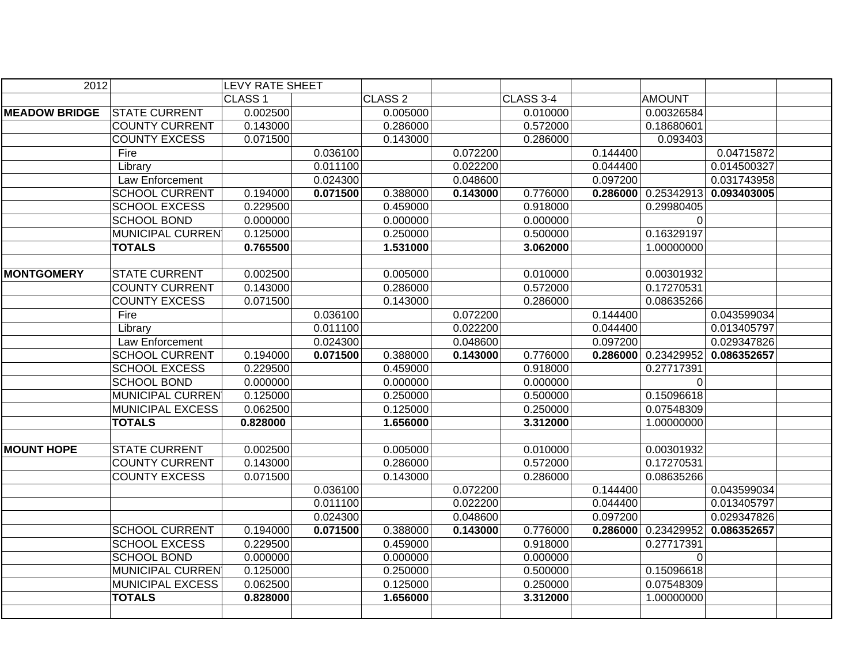| 2012                 |                         | <b>LEVY RATE SHEET</b> |          |                    |          |           |          |                       |             |  |
|----------------------|-------------------------|------------------------|----------|--------------------|----------|-----------|----------|-----------------------|-------------|--|
|                      |                         | CLASS <sub>1</sub>     |          | CLASS <sub>2</sub> |          | CLASS 3-4 |          | <b>AMOUNT</b>         |             |  |
| <b>MEADOW BRIDGE</b> | <b>STATE CURRENT</b>    | 0.002500               |          | 0.005000           |          | 0.010000  |          | 0.00326584            |             |  |
|                      | <b>COUNTY CURRENT</b>   | 0.143000               |          | 0.286000           |          | 0.572000  |          | 0.18680601            |             |  |
|                      | <b>COUNTY EXCESS</b>    | 0.071500               |          | 0.143000           |          | 0.286000  |          | 0.093403              |             |  |
|                      | Fire                    |                        | 0.036100 |                    | 0.072200 |           | 0.144400 |                       | 0.04715872  |  |
|                      | Library                 |                        | 0.011100 |                    | 0.022200 |           | 0.044400 |                       | 0.014500327 |  |
|                      | <b>Law Enforcement</b>  |                        | 0.024300 |                    | 0.048600 |           | 0.097200 |                       | 0.031743958 |  |
|                      | <b>SCHOOL CURRENT</b>   | 0.194000               | 0.071500 | 0.388000           | 0.143000 | 0.776000  |          | $0.286000$ 0.25342913 | 0.093403005 |  |
|                      | <b>SCHOOL EXCESS</b>    | 0.229500               |          | 0.459000           |          | 0.918000  |          | 0.29980405            |             |  |
|                      | <b>SCHOOL BOND</b>      | 0.000000               |          | 0.000000           |          | 0.000000  |          | $\Omega$              |             |  |
|                      | <b>MUNICIPAL CURREN</b> | 0.125000               |          | 0.250000           |          | 0.500000  |          | 0.16329197            |             |  |
|                      | <b>TOTALS</b>           | 0.765500               |          | 1.531000           |          | 3.062000  |          | 1.00000000            |             |  |
|                      |                         |                        |          |                    |          |           |          |                       |             |  |
| <b>MONTGOMERY</b>    | <b>STATE CURRENT</b>    | 0.002500               |          | 0.005000           |          | 0.010000  |          | 0.00301932            |             |  |
|                      | <b>COUNTY CURRENT</b>   | 0.143000               |          | 0.286000           |          | 0.572000  |          | 0.17270531            |             |  |
|                      | <b>COUNTY EXCESS</b>    | 0.071500               |          | 0.143000           |          | 0.286000  |          | 0.08635266            |             |  |
|                      | Fire                    |                        | 0.036100 |                    | 0.072200 |           | 0.144400 |                       | 0.043599034 |  |
|                      | Library                 |                        | 0.011100 |                    | 0.022200 |           | 0.044400 |                       | 0.013405797 |  |
|                      | Law Enforcement         |                        | 0.024300 |                    | 0.048600 |           | 0.097200 |                       | 0.029347826 |  |
|                      | <b>SCHOOL CURRENT</b>   | 0.194000               | 0.071500 | 0.388000           | 0.143000 | 0.776000  | 0.286000 | 0.23429952            | 0.086352657 |  |
|                      | <b>SCHOOL EXCESS</b>    | 0.229500               |          | 0.459000           |          | 0.918000  |          | 0.27717391            |             |  |
|                      | <b>SCHOOL BOND</b>      | 0.000000               |          | 0.000000           |          | 0.000000  |          | 0                     |             |  |
|                      | <b>MUNICIPAL CURREN</b> | 0.125000               |          | 0.250000           |          | 0.500000  |          | 0.15096618            |             |  |
|                      | <b>MUNICIPAL EXCESS</b> | 0.062500               |          | 0.125000           |          | 0.250000  |          | 0.07548309            |             |  |
|                      | <b>TOTALS</b>           | 0.828000               |          | 1.656000           |          | 3.312000  |          | 1.00000000            |             |  |
|                      |                         |                        |          |                    |          |           |          |                       |             |  |
| <b>MOUNT HOPE</b>    | <b>STATE CURRENT</b>    | 0.002500               |          | 0.005000           |          | 0.010000  |          | 0.00301932            |             |  |
|                      | <b>COUNTY CURRENT</b>   | 0.143000               |          | 0.286000           |          | 0.572000  |          | 0.17270531            |             |  |
|                      | <b>COUNTY EXCESS</b>    | 0.071500               |          | 0.143000           |          | 0.286000  |          | 0.08635266            |             |  |
|                      |                         |                        | 0.036100 |                    | 0.072200 |           | 0.144400 |                       | 0.043599034 |  |
|                      |                         |                        | 0.011100 |                    | 0.022200 |           | 0.044400 |                       | 0.013405797 |  |
|                      |                         |                        | 0.024300 |                    | 0.048600 |           | 0.097200 |                       | 0.029347826 |  |
|                      | <b>SCHOOL CURRENT</b>   | 0.194000               | 0.071500 | 0.388000           | 0.143000 | 0.776000  | 0.286000 | 0.23429952            | 0.086352657 |  |
|                      | <b>SCHOOL EXCESS</b>    | 0.229500               |          | 0.459000           |          | 0.918000  |          | 0.27717391            |             |  |
|                      | <b>SCHOOL BOND</b>      | 0.000000               |          | 0.000000           |          | 0.000000  |          | 0                     |             |  |
|                      | <b>MUNICIPAL CURREN</b> | 0.125000               |          | 0.250000           |          | 0.500000  |          | 0.15096618            |             |  |
|                      | <b>MUNICIPAL EXCESS</b> | 0.062500               |          | 0.125000           |          | 0.250000  |          | 0.07548309            |             |  |
|                      | <b>TOTALS</b>           | 0.828000               |          | 1.656000           |          | 3.312000  |          | 1.00000000            |             |  |
|                      |                         |                        |          |                    |          |           |          |                       |             |  |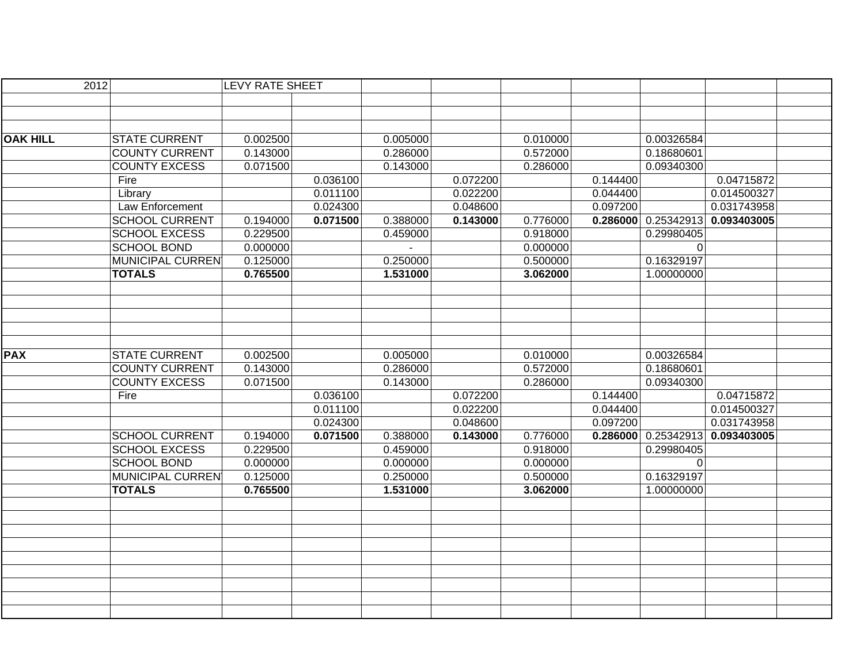| 2012            |                         | <b>LEVY RATE SHEET</b> |          |          |          |          |          |                                      |
|-----------------|-------------------------|------------------------|----------|----------|----------|----------|----------|--------------------------------------|
|                 |                         |                        |          |          |          |          |          |                                      |
|                 |                         |                        |          |          |          |          |          |                                      |
|                 |                         |                        |          |          |          |          |          |                                      |
| <b>OAK HILL</b> | <b>STATE CURRENT</b>    | 0.002500               |          | 0.005000 |          | 0.010000 |          | 0.00326584                           |
|                 | <b>COUNTY CURRENT</b>   | 0.143000               |          | 0.286000 |          | 0.572000 |          | 0.18680601                           |
|                 | <b>COUNTY EXCESS</b>    | 0.071500               |          | 0.143000 |          | 0.286000 |          | 0.09340300                           |
|                 | Fire                    |                        | 0.036100 |          | 0.072200 |          | 0.144400 | 0.04715872                           |
|                 | Library                 |                        | 0.011100 |          | 0.022200 |          | 0.044400 | 0.014500327                          |
|                 | Law Enforcement         |                        | 0.024300 |          | 0.048600 |          | 0.097200 | 0.031743958                          |
|                 | <b>SCHOOL CURRENT</b>   | 0.194000               | 0.071500 | 0.388000 | 0.143000 | 0.776000 |          | 0.286000   0.25342913<br>0.093403005 |
|                 | <b>SCHOOL EXCESS</b>    | 0.229500               |          | 0.459000 |          | 0.918000 |          | 0.29980405                           |
|                 | <b>SCHOOL BOND</b>      | 0.000000               |          |          |          | 0.000000 |          | $\Omega$                             |
|                 | MUNICIPAL CURREN        | 0.125000               |          | 0.250000 |          | 0.500000 |          | 0.16329197                           |
|                 | <b>TOTALS</b>           | 0.765500               |          | 1.531000 |          | 3.062000 |          | 1.00000000                           |
|                 |                         |                        |          |          |          |          |          |                                      |
|                 |                         |                        |          |          |          |          |          |                                      |
|                 |                         |                        |          |          |          |          |          |                                      |
|                 |                         |                        |          |          |          |          |          |                                      |
|                 |                         |                        |          |          |          |          |          |                                      |
| <b>PAX</b>      | <b>STATE CURRENT</b>    | 0.002500               |          | 0.005000 |          | 0.010000 |          | 0.00326584                           |
|                 | <b>COUNTY CURRENT</b>   | 0.143000               |          | 0.286000 |          | 0.572000 |          | 0.18680601                           |
|                 | <b>COUNTY EXCESS</b>    | 0.071500               |          | 0.143000 |          | 0.286000 |          | 0.09340300                           |
|                 | Fire                    |                        | 0.036100 |          | 0.072200 |          | 0.144400 | 0.04715872                           |
|                 |                         |                        | 0.011100 |          | 0.022200 |          | 0.044400 | 0.014500327                          |
|                 |                         |                        | 0.024300 |          | 0.048600 |          | 0.097200 | 0.031743958                          |
|                 | <b>SCHOOL CURRENT</b>   | 0.194000               | 0.071500 | 0.388000 | 0.143000 | 0.776000 | 0.286000 | 0.25342913<br>0.093403005            |
|                 | <b>SCHOOL EXCESS</b>    | 0.229500               |          | 0.459000 |          | 0.918000 |          | 0.29980405                           |
|                 | <b>SCHOOL BOND</b>      | 0.000000               |          | 0.000000 |          | 0.000000 |          | 0                                    |
|                 | <b>MUNICIPAL CURREN</b> | 0.125000               |          | 0.250000 |          | 0.500000 |          | 0.16329197                           |
|                 | <b>TOTALS</b>           | 0.765500               |          | 1.531000 |          | 3.062000 |          | 1.00000000                           |
|                 |                         |                        |          |          |          |          |          |                                      |
|                 |                         |                        |          |          |          |          |          |                                      |
|                 |                         |                        |          |          |          |          |          |                                      |
|                 |                         |                        |          |          |          |          |          |                                      |
|                 |                         |                        |          |          |          |          |          |                                      |
|                 |                         |                        |          |          |          |          |          |                                      |
|                 |                         |                        |          |          |          |          |          |                                      |
|                 |                         |                        |          |          |          |          |          |                                      |
|                 |                         |                        |          |          |          |          |          |                                      |